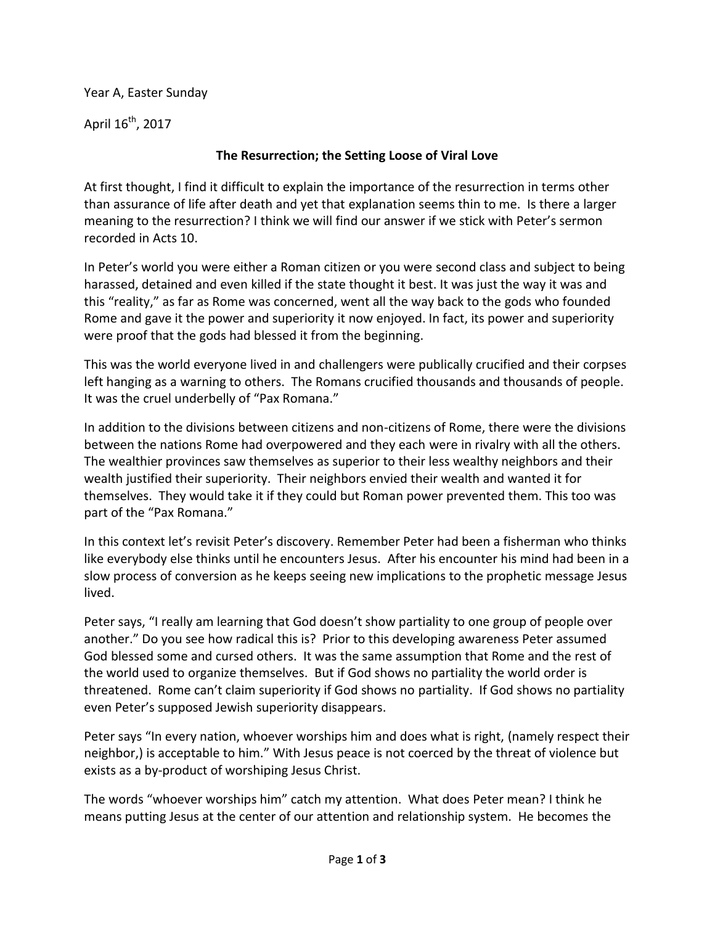Year A, Easter Sunday

April  $16^{th}$ , 2017

## **The Resurrection; the Setting Loose of Viral Love**

At first thought, I find it difficult to explain the importance of the resurrection in terms other than assurance of life after death and yet that explanation seems thin to me. Is there a larger meaning to the resurrection? I think we will find our answer if we stick with Peter's sermon recorded in Acts 10.

In Peter's world you were either a Roman citizen or you were second class and subject to being harassed, detained and even killed if the state thought it best. It was just the way it was and this "reality," as far as Rome was concerned, went all the way back to the gods who founded Rome and gave it the power and superiority it now enjoyed. In fact, its power and superiority were proof that the gods had blessed it from the beginning.

This was the world everyone lived in and challengers were publically crucified and their corpses left hanging as a warning to others. The Romans crucified thousands and thousands of people. It was the cruel underbelly of "Pax Romana."

In addition to the divisions between citizens and non-citizens of Rome, there were the divisions between the nations Rome had overpowered and they each were in rivalry with all the others. The wealthier provinces saw themselves as superior to their less wealthy neighbors and their wealth justified their superiority. Their neighbors envied their wealth and wanted it for themselves. They would take it if they could but Roman power prevented them. This too was part of the "Pax Romana."

In this context let's revisit Peter's discovery. Remember Peter had been a fisherman who thinks like everybody else thinks until he encounters Jesus. After his encounter his mind had been in a slow process of conversion as he keeps seeing new implications to the prophetic message Jesus lived.

Peter says, "I really am learning that God doesn't show partiality to one group of people over another." Do you see how radical this is? Prior to this developing awareness Peter assumed God blessed some and cursed others. It was the same assumption that Rome and the rest of the world used to organize themselves. But if God shows no partiality the world order is threatened. Rome can't claim superiority if God shows no partiality. If God shows no partiality even Peter's supposed Jewish superiority disappears.

Peter says "In every nation, whoever worships him and does what is right, (namely respect their neighbor,) is acceptable to him." With Jesus peace is not coerced by the threat of violence but exists as a by-product of worshiping Jesus Christ.

The words "whoever worships him" catch my attention. What does Peter mean? I think he means putting Jesus at the center of our attention and relationship system. He becomes the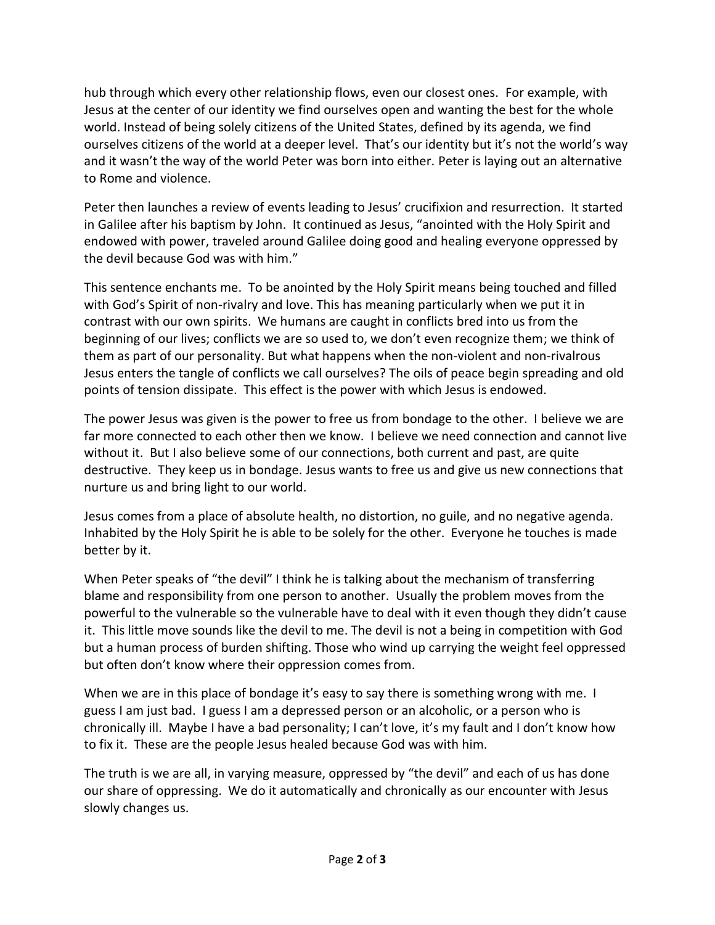hub through which every other relationship flows, even our closest ones. For example, with Jesus at the center of our identity we find ourselves open and wanting the best for the whole world. Instead of being solely citizens of the United States, defined by its agenda, we find ourselves citizens of the world at a deeper level. That's our identity but it's not the world's way and it wasn't the way of the world Peter was born into either. Peter is laying out an alternative to Rome and violence.

Peter then launches a review of events leading to Jesus' crucifixion and resurrection. It started in Galilee after his baptism by John. It continued as Jesus, "anointed with the Holy Spirit and endowed with power, traveled around Galilee doing good and healing everyone oppressed by the devil because God was with him."

This sentence enchants me. To be anointed by the Holy Spirit means being touched and filled with God's Spirit of non-rivalry and love. This has meaning particularly when we put it in contrast with our own spirits. We humans are caught in conflicts bred into us from the beginning of our lives; conflicts we are so used to, we don't even recognize them; we think of them as part of our personality. But what happens when the non-violent and non-rivalrous Jesus enters the tangle of conflicts we call ourselves? The oils of peace begin spreading and old points of tension dissipate. This effect is the power with which Jesus is endowed.

The power Jesus was given is the power to free us from bondage to the other. I believe we are far more connected to each other then we know. I believe we need connection and cannot live without it. But I also believe some of our connections, both current and past, are quite destructive. They keep us in bondage. Jesus wants to free us and give us new connections that nurture us and bring light to our world.

Jesus comes from a place of absolute health, no distortion, no guile, and no negative agenda. Inhabited by the Holy Spirit he is able to be solely for the other. Everyone he touches is made better by it.

When Peter speaks of "the devil" I think he is talking about the mechanism of transferring blame and responsibility from one person to another. Usually the problem moves from the powerful to the vulnerable so the vulnerable have to deal with it even though they didn't cause it. This little move sounds like the devil to me. The devil is not a being in competition with God but a human process of burden shifting. Those who wind up carrying the weight feel oppressed but often don't know where their oppression comes from.

When we are in this place of bondage it's easy to say there is something wrong with me. I guess I am just bad. I guess I am a depressed person or an alcoholic, or a person who is chronically ill. Maybe I have a bad personality; I can't love, it's my fault and I don't know how to fix it. These are the people Jesus healed because God was with him.

The truth is we are all, in varying measure, oppressed by "the devil" and each of us has done our share of oppressing. We do it automatically and chronically as our encounter with Jesus slowly changes us.